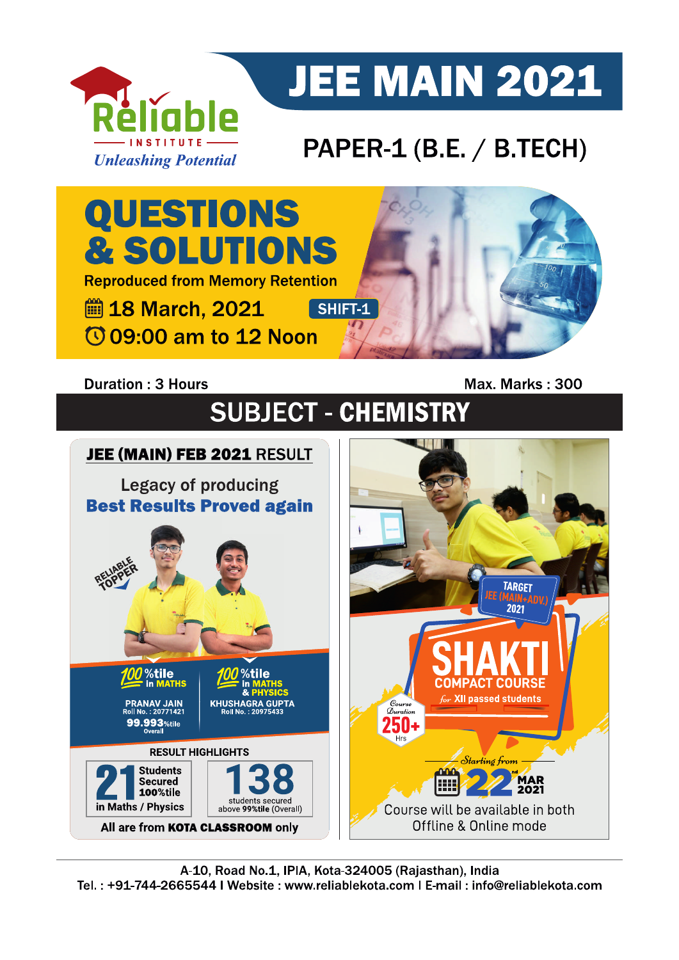

# **JEE MAIN 2021**

### PAPER-1 (B.E. / B.TECH)



#### **Duration: 3 Hours**

Max. Marks: 300

## **SUBJECT - CHEMISTRY**

### JEE (MAIN) FEB 2021 RESULT

**Legacy of producing Best Results Proved again** 



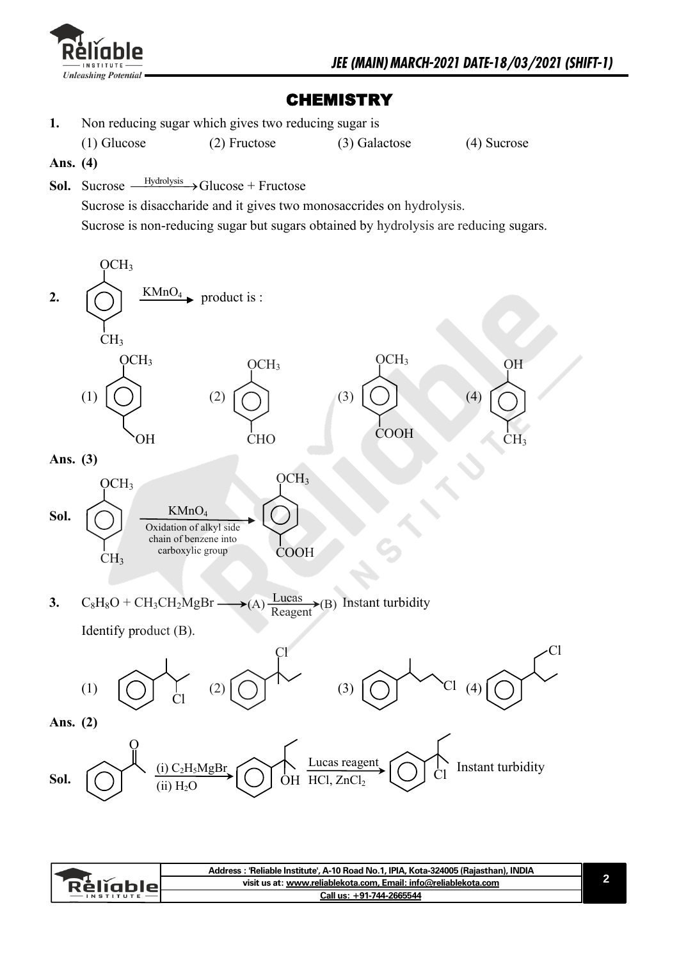

#### **CHEMISTRY**

**1.** Non reducing sugar which gives two reducing sugar is

(1) Glucose (2) Fructose (3) Galactose (4) Sucrose

- **Ans. (4)**
- Sol. Sucrose -Hydrolysis Glucose + Fructose

Sucrose is disaccharide and it gives two monosaccrides on hydrolysis. Sucrose is non-reducing sugar but sugars obtained by hydrolysis are reducing sugars.



|                  | Address: 'Reliable Institute', A-10 Road No.1, IPIA, Kota-324005 (Rajasthan), INDIA |  |
|------------------|-------------------------------------------------------------------------------------|--|
| <b>RèlĭableL</b> | visit us at: www.reliablekota.com, Email: info@reliablekota.com                     |  |
| $-$ INSTITUTE    | Call us: +91-744-2665544                                                            |  |
|                  |                                                                                     |  |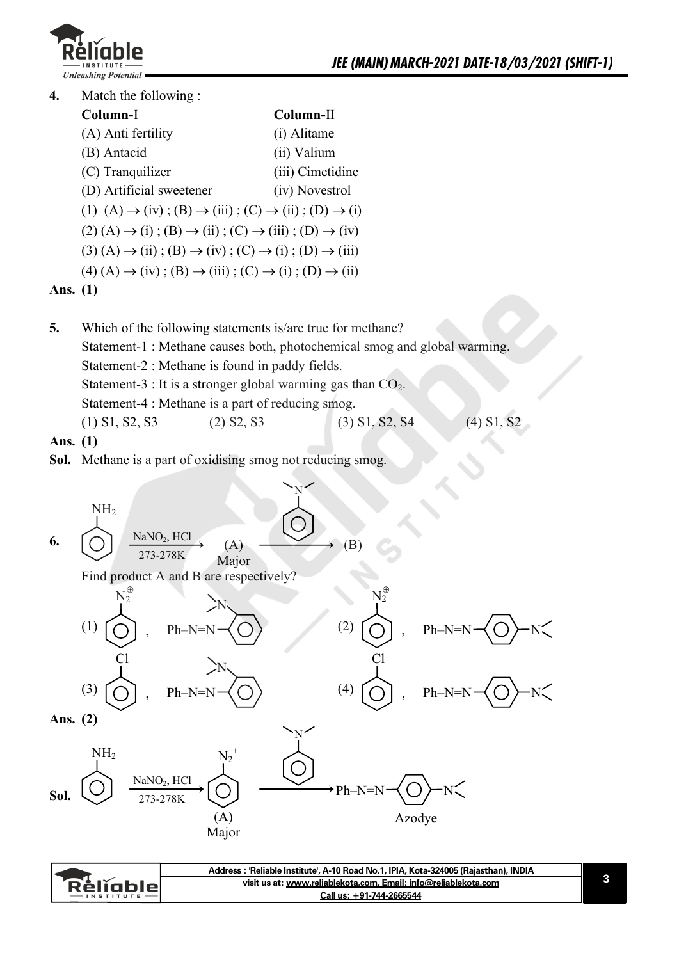

**4.** Match the following :

| Column-I                                                                                              | Column-II        |
|-------------------------------------------------------------------------------------------------------|------------------|
| (A) Anti fertility                                                                                    | (i) Alitame      |
| (B) Antacid                                                                                           | (ii) Valium      |
| (C) Tranquilizer                                                                                      | (iii) Cimetidine |
| (D) Artificial sweetener                                                                              | (iv) Novestrol   |
| (1) (A) $\rightarrow$ (iv); (B) $\rightarrow$ (iii); (C) $\rightarrow$ (ii); (D) $\rightarrow$ (i)    |                  |
| $(2)$ (A) $\rightarrow$ (i); (B) $\rightarrow$ (ii); (C) $\rightarrow$ (iii); (D) $\rightarrow$ (iv)  |                  |
| $(3)$ (A) $\rightarrow$ (ii); (B) $\rightarrow$ (iv); (C) $\rightarrow$ (i); (D) $\rightarrow$ (iii)  |                  |
| $(4) (A) \rightarrow (iv)$ ; $(B) \rightarrow (iii)$ ; $(C) \rightarrow (i)$ ; $(D) \rightarrow (ii)$ |                  |
| $\rightarrow$                                                                                         |                  |

#### **Ans. (1)**

**5.** Which of the following statements is/are true for methane? Statement-1 : Methane causes both, photochemical smog and global warming. Statement-2 : Methane is found in paddy fields. Statement-3 : It is a stronger global warming gas than  $CO<sub>2</sub>$ . Statement-4 : Methane is a part of reducing smog. (1) S1, S2, S3 (2) S2, S3 (3) S1, S2, S4 (4) S1, S2

**Ans. (1)** 

**Sol.** Methane is a part of oxidising smog not reducing smog.



|                  | Address : 'Reliable Institute', A-10 Road No.1, IPIA, Kota-324005 (Rajasthan), INDIA |  |
|------------------|--------------------------------------------------------------------------------------|--|
| <b>Reliable</b>  | visit us at: www.reliablekota.com, Email: info@reliablekota.com                      |  |
| <b>INSTITUTE</b> | Call us: +91-744-2665544                                                             |  |
|                  |                                                                                      |  |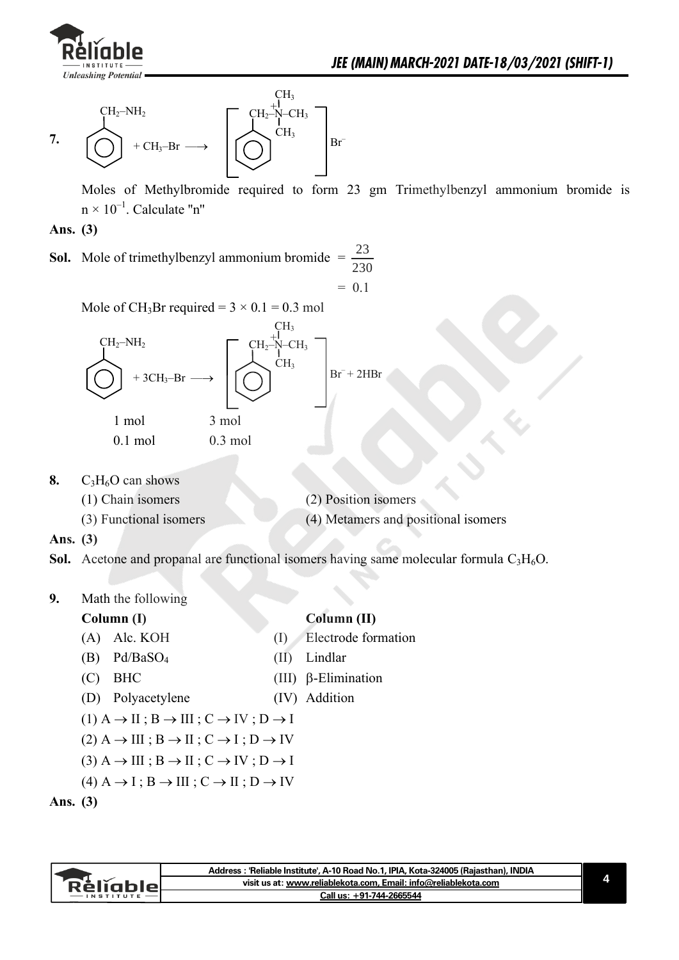



Moles of Methylbromide required to form 23 gm Trimethylbenzyl ammonium bromide is  $n \times 10^{-1}$ . Calculate "n"

#### **Ans. (3)**

**Sol.** Mole of trimethylbenzyl ammonium bromide  $=$   $\frac{23}{200}$ 230

 $= 0.1$ 

Mole of CH<sub>3</sub>Br required =  $3 \times 0.1 = 0.3$  mol



- 0.1 mol 0.3 mol
- **8.**  $C_3H_6O$  can shows

| (1) Chain isomers      | (2) Position isomers                |
|------------------------|-------------------------------------|
| (3) Functional isomers | (4) Metamers and positional isomers |

#### **Ans. (3)**

**Sol.** Acetone and propanal are functional isomers having same molecular formula C<sub>3</sub>H<sub>6</sub>O.

#### **9.** Math the following

#### **Column (I)** Column (II)

- (A) Alc. KOH (I) Electrode formation
- (B) Pd/BaSO4 (II) Lindlar
- (C) BHC (III)  $\beta$ -Elimination
	- (D) Polyacetylene (IV) Addition
	- $(1)$  A  $\rightarrow$  II ; B  $\rightarrow$  III ; C  $\rightarrow$  IV ; D  $\rightarrow$  I
- $(2)$  A  $\rightarrow$  III ; B  $\rightarrow$  II ; C  $\rightarrow$  I ; D  $\rightarrow$  IV
- $(3)$  A  $\rightarrow$  III ; B  $\rightarrow$  II ; C  $\rightarrow$  IV ; D  $\rightarrow$  I
- $(4)$  A  $\rightarrow$  I; B  $\rightarrow$  III ; C  $\rightarrow$  II ; D  $\rightarrow$  IV

```
Ans. (3)
```

|           | Address : 'Reliable Institute', A-10 Road No.1, IPIA, Kota-324005 (Rajasthan), INDIA |  |
|-----------|--------------------------------------------------------------------------------------|--|
| keliabler | visit us at: www.reliablekota.com, Email: info@reliablekota.com                      |  |
|           | Call us: +91-744-2665544                                                             |  |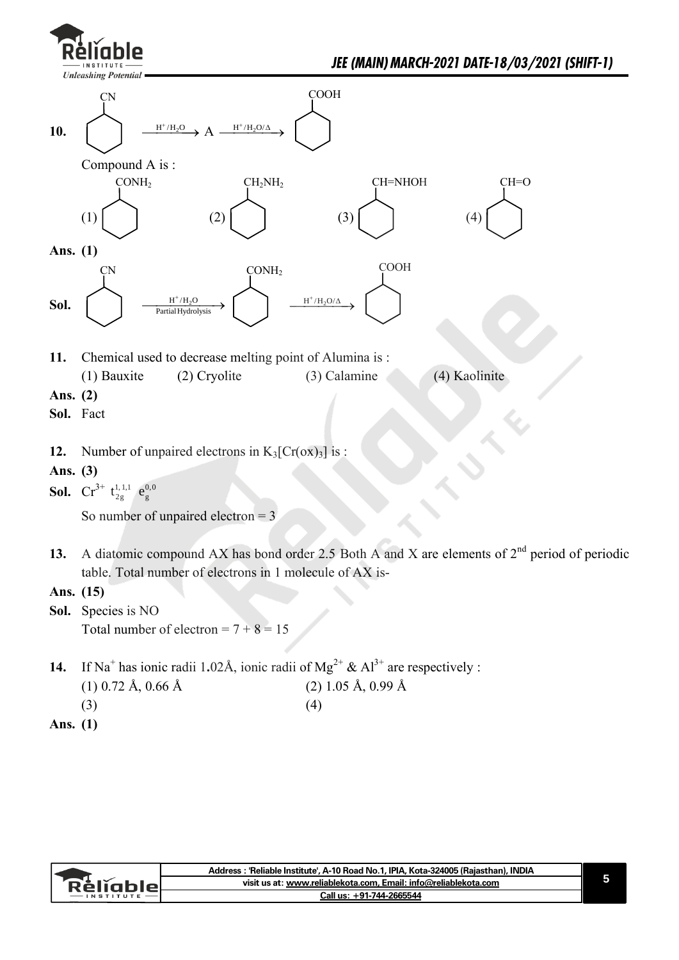



|                 | Address : 'Reliable Institute', A-10 Road No.1, IPIA, Kota-324005 (Rajasthan), INDIA |  |
|-----------------|--------------------------------------------------------------------------------------|--|
| Relighiel       | visit us at: www.reliablekota.com, Email: info@reliablekota.com                      |  |
| <b>INSTITUT</b> | Call us: +91-744-2665544                                                             |  |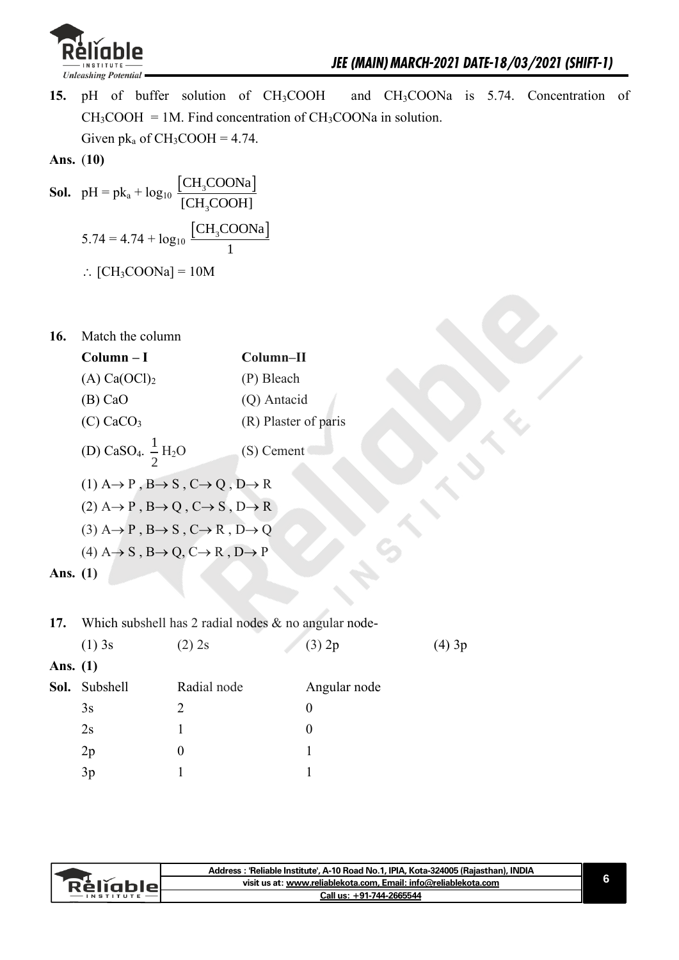

**15.** pH of buffer solution of CH<sub>3</sub>COOH and CH<sub>3</sub>COONa is 5.74. Concentration of  $CH<sub>3</sub>COOH = 1M$ . Find concentration of  $CH<sub>3</sub>COONa$  in solution. Given  $pk_a$  of  $CH_3COOH = 4.74$ .

Ans. 
$$
(10)
$$

**Sol.**  $pH = pk_a + log_{10} \frac{[CH_3COONa]}{[SUSOONa]}$ 3 CH<sub>3</sub>COONa  $[CH<sub>3</sub>COOH]$  $5.74 = 4.74 + log_{10} \frac{[CH_3COONa]}{1}$ 1  $\therefore$  [CH<sub>3</sub>COONa] = 10M

**16.** Match the column

|            | $Column - I$                                                                     | Column-II            |
|------------|----------------------------------------------------------------------------------|----------------------|
|            | $(A)$ Ca(OCl) <sub>2</sub>                                                       | (P) Bleach           |
|            | $(B)$ CaO                                                                        | (Q) Antacid          |
|            | $(C)$ CaCO <sub>3</sub>                                                          | (R) Plaster of paris |
|            | (D) CaSO <sub>4</sub> . $\frac{1}{2}$ H <sub>2</sub> O                           | (S) Cement           |
|            | $(1)$ A $\rightarrow$ P, B $\rightarrow$ S, C $\rightarrow$ Q, D $\rightarrow$ R |                      |
|            | $(2)$ A $\rightarrow$ P, B $\rightarrow$ Q, C $\rightarrow$ S, D $\rightarrow$ R |                      |
|            | $(3)$ A $\rightarrow$ P, B $\rightarrow$ S, C $\rightarrow$ R, D $\rightarrow$ Q |                      |
|            | $(4)$ A $\rightarrow$ S, B $\rightarrow$ Q, C $\rightarrow$ R, D $\rightarrow$ P |                      |
| Ans. $(1)$ |                                                                                  |                      |
|            |                                                                                  |                      |

**17.** Which subshell has 2 radial nodes & no angular node-

|            | $(1)$ 3s      | $(2)$ 2s       | (3) 2p       | (4) 3p |
|------------|---------------|----------------|--------------|--------|
| Ans. $(1)$ |               |                |              |        |
|            | Sol. Subshell | Radial node    | Angular node |        |
|            | 3s            | $\overline{2}$ | $\theta$     |        |
|            | 2s            |                | $\theta$     |        |
|            | 2p            | 0              |              |        |
|            | 3p            |                |              |        |

|               | Address : 'Reliable Institute', A-10 Road No.1, IPIA, Kota-324005 (Rajasthan), INDIA |
|---------------|--------------------------------------------------------------------------------------|
| Rĕliahler     | visit us at: www.reliablekota.com, Email: info@reliablekota.com                      |
| $-$ INSTITUTE | Call us: +91-744-2665544                                                             |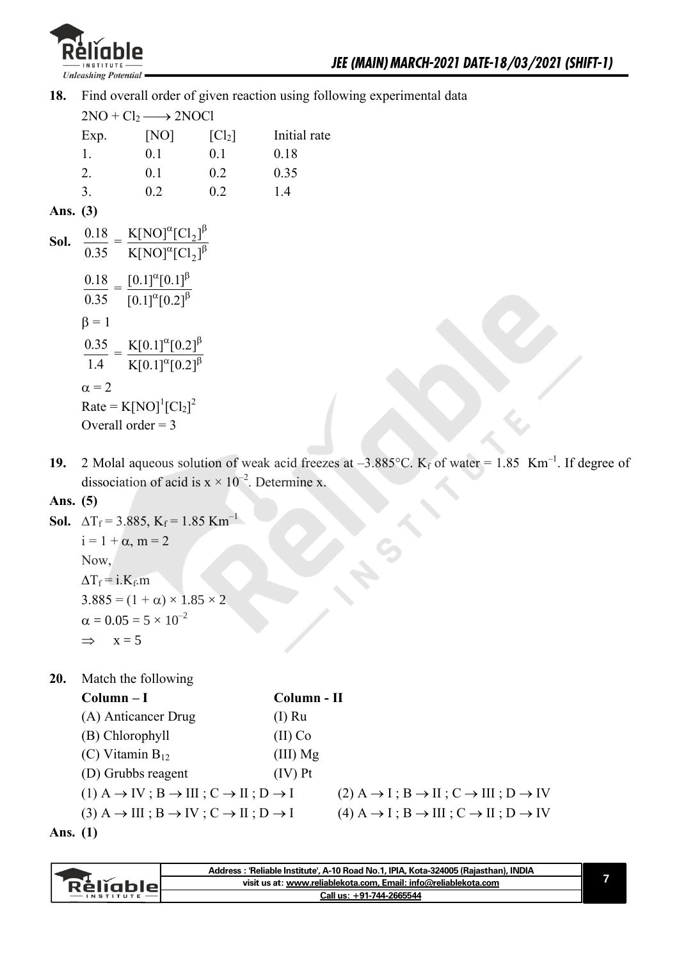

**18.** Find overall order of given reaction using following experimental data

 $2NO + Cl<sub>2</sub> \longrightarrow 2NOCl$ Exp.  $[NO]$   $[Cl<sub>2</sub>]$  Initial rate 1. 0.1 0.1 0.18 2. 0.1 0.2 0.35 3. 0.2 0.2 1.4 **Ans. (3) Sol.**  0.18 0.35  $=\frac{N[IVO][VI_2]}{[III]^{2}}$ 2  $K[NO]^{\alpha}[Cl_{2}]$  $K[NO]^{\alpha}[Cl_{2}]$  $\alpha_{\Gamma}$ <sup>1</sup>  $\alpha_{\Gamma}$ <sup>1</sup> 0.18 0.35  $=\frac{[0.1]^{\alpha}[0.1]}{\alpha}$  $[0.1]$ <sup> $\alpha$ </sup> $[0.2]$  $\alpha_{\mathsf{F}}$   $\alpha_{\mathsf{F}}$  $\alpha_{\text{LO}}$   $\gamma_{\text{L}}$  $\beta = 1$ 0.35 1.4  $=\frac{K[0.1]^{\alpha}[0.2]}{2(0.2)^{\alpha}}$  $K[0.1]^\alpha[0.2]$  $\alpha_{\mathsf{I}}$ תר  $\alpha$ ו  $\alpha_{\mathsf{I}}$ תר  $\alpha$ ו

 $\alpha = 2$  $Rate = K[NO]^1 [Cl_2]^2$ Overall order  $= 3$ 

**19.** 2 Molal aqueous solution of weak acid freezes at  $-3.885^{\circ}$ C. K<sub>f</sub> of water = 1.85 Km<sup>-1</sup>. If degree of dissociation of acid is  $x \times 10^{-2}$ . Determine x.

#### **Ans. (5)**

```
Sol. \Delta T_f = 3.885, K_f = 1.85 Km<sup>-1</sup>
i = 1 + \alpha, m = 2
 Now, 
\Delta T_f = i.K_f.m3.885 = (1 + \alpha) \times 1.85 \times 2\alpha = 0.05 = 5 \times 10^{-2}\Rightarrow x = 5
```
**20.** Match the following

| $Column-I$                                                                              | Column - II |                                                                                      |
|-----------------------------------------------------------------------------------------|-------------|--------------------------------------------------------------------------------------|
| (A) Anticancer Drug                                                                     | $(I)$ Ru    |                                                                                      |
| (B) Chlorophyll                                                                         | $(II)$ Co   |                                                                                      |
| (C) Vitamin $B_{12}$                                                                    | $(III)$ Mg  |                                                                                      |
| (D) Grubbs reagent                                                                      | $(IV)$ Pt   |                                                                                      |
| $(1)$ A $\rightarrow$ IV; B $\rightarrow$ III; C $\rightarrow$ II; D $\rightarrow$ I    |             | $(2)$ A $\rightarrow$ I; B $\rightarrow$ II; C $\rightarrow$ III; D $\rightarrow$ IV |
| $(3)$ A $\rightarrow$ III ; B $\rightarrow$ IV ; C $\rightarrow$ II ; D $\rightarrow$ I |             | $(4)$ A $\rightarrow$ I; B $\rightarrow$ III; C $\rightarrow$ II; D $\rightarrow$ IV |
|                                                                                         |             |                                                                                      |

**Ans. (1)** 

|                 | Address: 'Reliable Institute', A-10 Road No.1, IPIA, Kota-324005 (Rajasthan), INDIA |  |
|-----------------|-------------------------------------------------------------------------------------|--|
| <b>Rèliable</b> | visit us at: www.reliablekota.com, Email: info@reliablekota.com                     |  |
| $-$ INSTITUTE   | Call us: +91-744-2665544                                                            |  |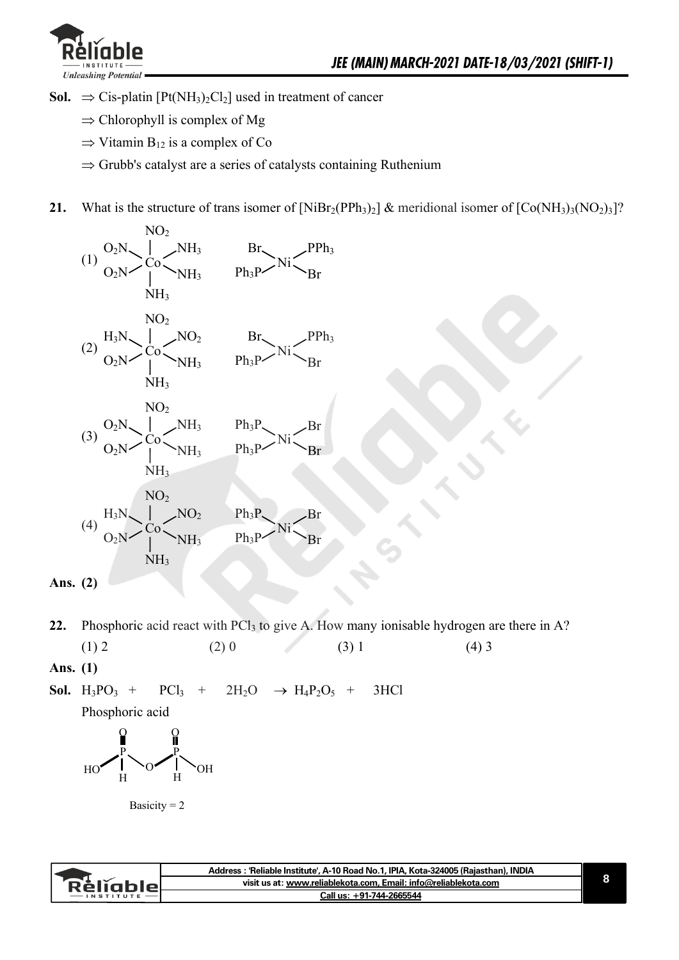

- **Sol.**  $\Rightarrow$  Cis-platin [Pt(NH<sub>3</sub>)<sub>2</sub>Cl<sub>2</sub>] used in treatment of cancer
	- $\Rightarrow$  Chlorophyll is complex of Mg
	- $\Rightarrow$  Vitamin B<sub>12</sub> is a complex of Co
	- $\Rightarrow$  Grubb's catalyst are a series of catalysts containing Ruthenium
- **21.** What is the structure of trans isomer of  $[NiBr_2(PPh_3)_2]$  & meridional isomer of  $[Co(NH_3)_3(NO_2)_3]$ ?



- **22.** Phosphoric acid react with PCl<sub>3</sub> to give A. How many ionisable hydrogen are there in A? (1) 2 (2) 0 (3) 1 (4) 3
- **Ans. (1)**

**Sol.**  $H_3PO_3$  +  $PCl_3$  +  $2H_2O \rightarrow H_4P_2O_5$  + 3HCl

Phosphoric acid

$$
\textrm{H}_\textrm{O}\xrightarrow[\textrm{H}]{\textrm{H}}\textrm{O}\xrightarrow[\textrm{H}]{\textrm{H}}\textrm{O}\textrm{H}
$$

Basicity  $= 2$ 

|               | Address : 'Reliable Institute', A-10 Road No.1, IPIA, Kota-324005 (Rajasthan), INDIA |
|---------------|--------------------------------------------------------------------------------------|
| RěliableL     | visit us at: www.reliablekota.com, Email: info@reliablekota.com                      |
| $-$ INSTITUTE | Call us: +91-744-2665544                                                             |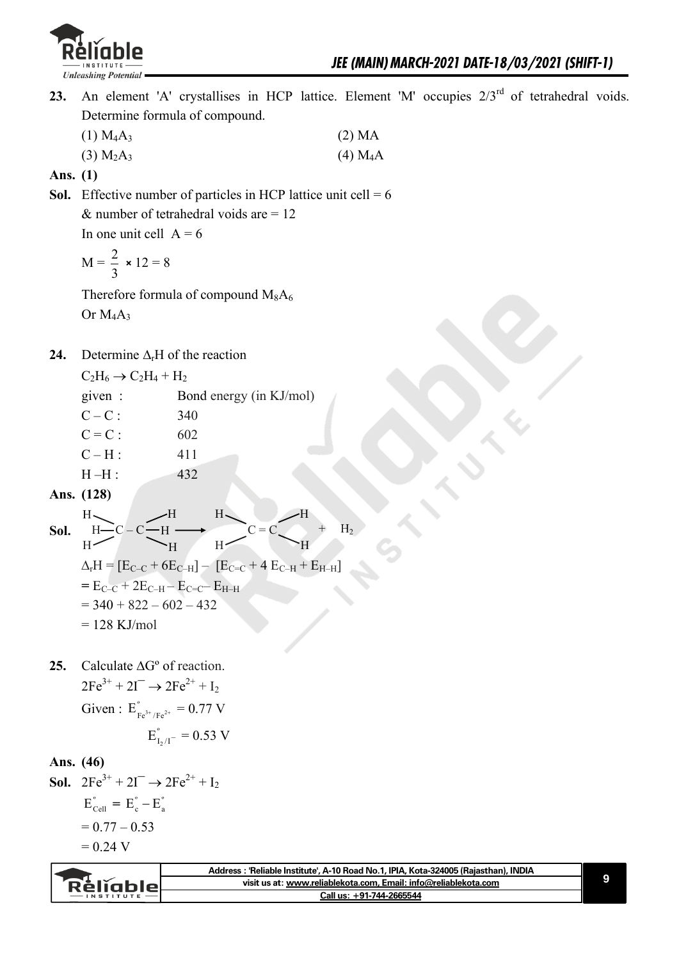

- 23. An element 'A' crystallises in HCP lattice. Element 'M' occupies  $2/3^{rd}$  of tetrahedral voids. Determine formula of compound.
	- $(1) M_4A_3$  (2) MA (3)  $M_2A_3$  (4)  $M_4A$

**Ans. (1)** 

**Sol.** Effective number of particles in HCP lattice unit cell  $= 6$  $&$  number of tetrahedral voids are = 12

In one unit cell  $A = 6$ 

$$
M = \frac{2}{3} \times 12 = 8
$$

Therefore formula of compound  $M_8A_6$ Or  $M_4A_3$ 

**24.** Determine  $\Delta_r$ H of the reaction

 $C_2H_6 \rightarrow C_2H_4 + H_2$ 

|      | given:                                                                 | Bond energy (in KJ/mol)                                                                                                                |
|------|------------------------------------------------------------------------|----------------------------------------------------------------------------------------------------------------------------------------|
|      | $C - C$ :                                                              | 340                                                                                                                                    |
|      | $C = C$ :                                                              | 602                                                                                                                                    |
|      | $C-H$ :                                                                | 411                                                                                                                                    |
|      | $H-H$ :                                                                | 432                                                                                                                                    |
|      | Ans. (128)                                                             |                                                                                                                                        |
| Sol. | H<br>H –<br>$H-C-C-H$<br>H                                             | H<br>Η<br>$H_2$<br>C<br>$\equiv$<br>Н<br>$\Delta_{\rm r}H = [E_{\rm C-C} + 6E_{\rm C-H}] - [E_{\rm C-C} + 4E_{\rm C-H} + E_{\rm H-H}]$ |
|      | $=E_{C-C} + 2E_{C-H} - E_{C=C} - E_{H-H}$<br>$=$ 340 + 822 - 602 - 432 |                                                                                                                                        |
|      |                                                                        |                                                                                                                                        |

- $= 128$  KJ/mol
- **25.** Calculate  $\Delta G^{\circ}$  of reaction.  $2Fe^{3+} + 2I^{-} \rightarrow 2Fe^{2+} + I_{2}$ Given :  $E_{Fe^{3+}/Fe^{2+}}^{\circ} = 0.77$  V

$$
E_{I_2/I^-}^{\degree}=0.53~V
$$

#### **Ans. (46)**

**Sol.**  $2Fe^{3+} + 2I^{-} \rightarrow 2Fe^{2+} + I_{2}$  $E_{\text{cell}}^{\circ} = E_{\text{c}}^{\circ} - E_{\text{a}}^{\circ}$  $= 0.77 - 0.53$  $= 0.24 V$ 

|                 | Address: 'Reliable Institute', A-10 Road No.1, IPIA, Kota-324005 (Rajasthan), INDIA |  |
|-----------------|-------------------------------------------------------------------------------------|--|
| <b>Réligble</b> | visit us at: www.reliablekota.com, Email: info@reliablekota.com                     |  |
| $-$ INSTITUTE   | Call us: +91-744-2665544                                                            |  |
|                 |                                                                                     |  |